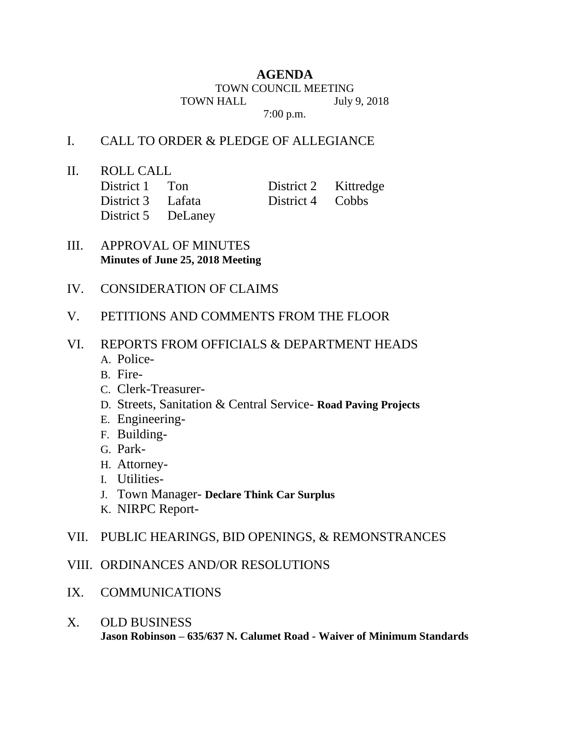# **AGENDA**

TOWN COUNCIL MEETING

TOWN HALL July 9, 2018

7:00 p.m.

### I. CALL TO ORDER & PLEDGE OF ALLEGIANCE

II. ROLL CALL

| District 1 Ton     | District 2 Kittredge |  |
|--------------------|----------------------|--|
| District 3 Lafata  | District 4 Cobbs     |  |
| District 5 DeLaney |                      |  |

- III. APPROVAL OF MINUTES **Minutes of June 25, 2018 Meeting**
- IV. CONSIDERATION OF CLAIMS
- V. PETITIONS AND COMMENTS FROM THE FLOOR
- VI. REPORTS FROM OFFICIALS & DEPARTMENT HEADS
	- A. Police-
	- B. Fire-
	- C. Clerk-Treasurer-
	- D. Streets, Sanitation & Central Service- **Road Paving Projects**
	- E. Engineering-
	- F. Building-
	- G. Park-
	- H. Attorney-
	- I. Utilities-
	- J. Town Manager- **Declare Think Car Surplus**
	- K. NIRPC Report-
- VII. PUBLIC HEARINGS, BID OPENINGS, & REMONSTRANCES
- VIII. ORDINANCES AND/OR RESOLUTIONS
- IX. COMMUNICATIONS
- X. OLD BUSINESS **Jason Robinson – 635/637 N. Calumet Road - Waiver of Minimum Standards**